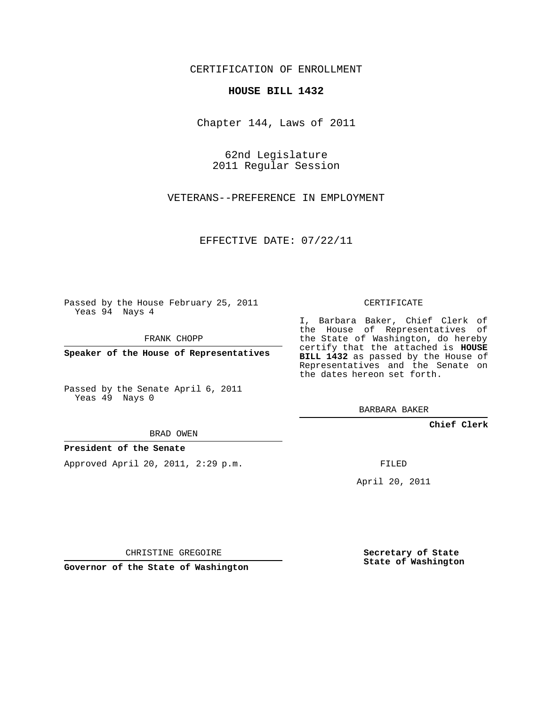CERTIFICATION OF ENROLLMENT

## **HOUSE BILL 1432**

Chapter 144, Laws of 2011

62nd Legislature 2011 Regular Session

VETERANS--PREFERENCE IN EMPLOYMENT

EFFECTIVE DATE: 07/22/11

Passed by the House February 25, 2011 Yeas 94 Nays 4

FRANK CHOPP

**Speaker of the House of Representatives**

Passed by the Senate April 6, 2011 Yeas 49 Nays 0

## BRAD OWEN

## **President of the Senate**

Approved April 20, 2011, 2:29 p.m.

CERTIFICATE

I, Barbara Baker, Chief Clerk of the House of Representatives of the State of Washington, do hereby certify that the attached is **HOUSE BILL 1432** as passed by the House of Representatives and the Senate on the dates hereon set forth.

BARBARA BAKER

**Chief Clerk**

FILED

April 20, 2011

CHRISTINE GREGOIRE

**Governor of the State of Washington**

**Secretary of State State of Washington**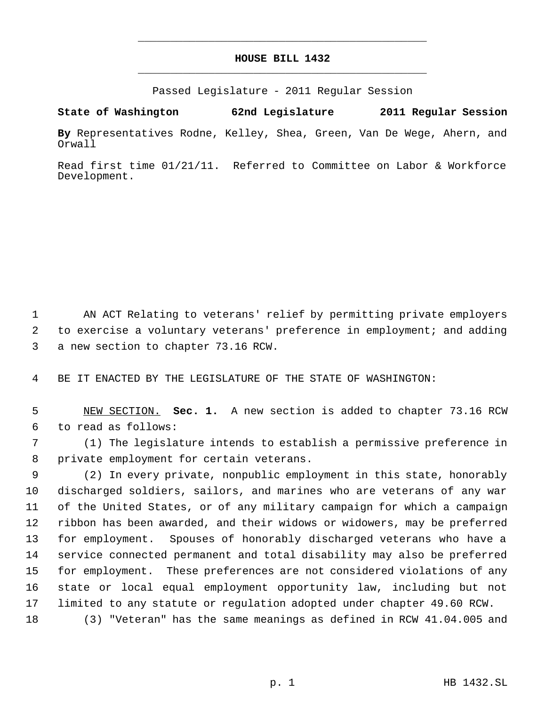## **HOUSE BILL 1432** \_\_\_\_\_\_\_\_\_\_\_\_\_\_\_\_\_\_\_\_\_\_\_\_\_\_\_\_\_\_\_\_\_\_\_\_\_\_\_\_\_\_\_\_\_

\_\_\_\_\_\_\_\_\_\_\_\_\_\_\_\_\_\_\_\_\_\_\_\_\_\_\_\_\_\_\_\_\_\_\_\_\_\_\_\_\_\_\_\_\_

Passed Legislature - 2011 Regular Session

**State of Washington 62nd Legislature 2011 Regular Session**

**By** Representatives Rodne, Kelley, Shea, Green, Van De Wege, Ahern, and Orwall

Read first time 01/21/11. Referred to Committee on Labor & Workforce Development.

 AN ACT Relating to veterans' relief by permitting private employers to exercise a voluntary veterans' preference in employment; and adding a new section to chapter 73.16 RCW.

BE IT ENACTED BY THE LEGISLATURE OF THE STATE OF WASHINGTON:

 NEW SECTION. **Sec. 1.** A new section is added to chapter 73.16 RCW to read as follows:

 (1) The legislature intends to establish a permissive preference in private employment for certain veterans.

 (2) In every private, nonpublic employment in this state, honorably discharged soldiers, sailors, and marines who are veterans of any war of the United States, or of any military campaign for which a campaign ribbon has been awarded, and their widows or widowers, may be preferred for employment. Spouses of honorably discharged veterans who have a service connected permanent and total disability may also be preferred for employment. These preferences are not considered violations of any state or local equal employment opportunity law, including but not limited to any statute or regulation adopted under chapter 49.60 RCW.

(3) "Veteran" has the same meanings as defined in RCW 41.04.005 and